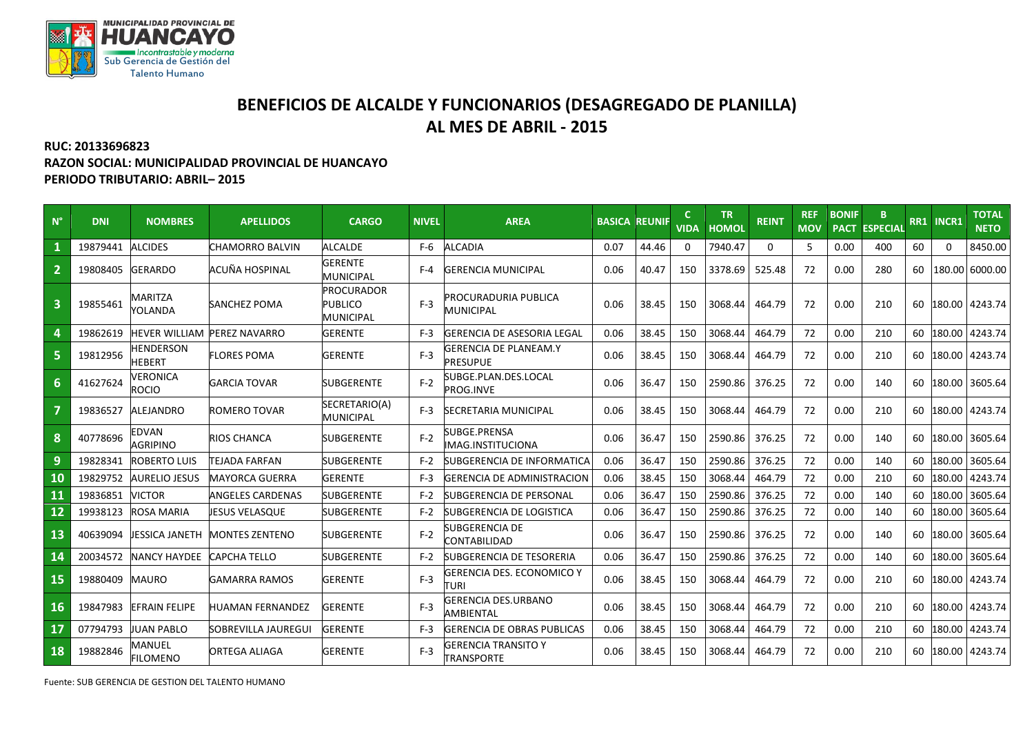

## **BENEFICIOS DE ALCALDE Y FUNCIONARIOS (DESAGREGADO DE PLANILLA) AL MES DE ABRIL - 2015**

## **RUC: 20133696823 RAZON SOCIAL: MUNICIPALIDAD PROVINCIAL DE HUANCAYO PERIODO TRIBUTARIO: ABRIL– 2015**

| $N^{\circ}$             | <b>DNI</b> | <b>NOMBRES</b>                    | <b>APELLIDOS</b>        | <b>CARGO</b>                                            | <b>NIVEL</b> | <b>AREA</b>                                     | <b>BASICA</b> | <b>REUNIF</b> | <b>VIDA</b> | <b>TR</b><br><b>HOMOL</b> | <b>REINT</b> | <b>REF</b><br><b>MOV</b> | <b>BONIF</b><br><b>PACT</b> | B.<br><b>ESPECIAL</b> | <b>RR1</b> | INCR1    | <b>TOTAL</b><br><b>NETO</b> |
|-------------------------|------------|-----------------------------------|-------------------------|---------------------------------------------------------|--------------|-------------------------------------------------|---------------|---------------|-------------|---------------------------|--------------|--------------------------|-----------------------------|-----------------------|------------|----------|-----------------------------|
|                         | 19879441   | <b>ALCIDES</b>                    | <b>CHAMORRO BALVIN</b>  | <b>ALCALDE</b>                                          | F-6          | <b>ALCADIA</b>                                  | 0.07          | 44.46         | 0           | 7940.47                   | 0            | 5                        | 0.00                        | 400                   | 60         | $\Omega$ | 8450.00                     |
| $\overline{2}$          | 19808405   | <b>GERARDO</b>                    | ACUÑA HOSPINAL          | <b>GERENTE</b><br><b>MUNICIPAL</b>                      | $F-4$        | <b>GERENCIA MUNICIPAL</b>                       | 0.06          | 40.47         | 150         | 3378.69                   | 525.48       | 72                       | 0.00                        | 280                   | 60         |          | 180.00 6000.00              |
| $\overline{\mathbf{3}}$ | 19855461   | <b>MARITZA</b><br>YOLANDA         | <b>SANCHEZ POMA</b>     | <b>PROCURADOR</b><br><b>PUBLICO</b><br><b>MUNICIPAL</b> | $F-3$        | <b>PROCURADURIA PUBLICA</b><br><b>MUNICIPAL</b> | 0.06          | 38.45         | 150         | 3068.44                   | 464.79       | 72                       | 0.00                        | 210                   | 60         |          | 180.00 4243.74              |
|                         | 19862619   | <b>HEVER WILLIAM</b>              | <b>PEREZ NAVARRO</b>    | <b>GERENTE</b>                                          | $F-3$        | <b>GERENCIA DE ASESORIA LEGAL</b>               | 0.06          | 38.45         | 150         | 3068.44                   | 464.79       | 72                       | 0.00                        | 210                   | 60         | 180.00   | 4243.74                     |
| 5                       | 19812956   | <b>HENDERSON</b><br><b>HEBERT</b> | <b>FLORES POMA</b>      | <b>GERENTE</b>                                          | $F-3$        | <b>GERENCIA DE PLANEAM.Y</b><br><b>PRESUPUE</b> | 0.06          | 38.45         | 150         | 3068.44                   | 464.79       | 72                       | 0.00                        | 210                   | 60         | 180.00   | 4243.74                     |
| $6\phantom{1}$          | 41627624   | VERONICA<br><b>ROCIO</b>          | <b>GARCIA TOVAR</b>     | <b>SUBGERENTE</b>                                       | $F-2$        | SUBGE.PLAN.DES.LOCAL<br>PROG.INVE               | 0.06          | 36.47         | 150         | 2590.86                   | 376.25       | 72                       | 0.00                        | 140                   | 60         |          | 180.00 3605.64              |
| 7                       | 19836527   | <b>ALEJANDRO</b>                  | <b>ROMERO TOVAR</b>     | SECRETARIO(A)<br><b>MUNICIPAL</b>                       | $F-3$        | <b>SECRETARIA MUNICIPAL</b>                     | 0.06          | 38.45         | 150         | 3068.44                   | 464.79       | 72                       | 0.00                        | 210                   | 60         |          | 180.00 4243.74              |
| 8                       | 40778696   | <b>EDVAN</b><br><b>AGRIPINO</b>   | RIOS CHANCA             | <b>SUBGERENTE</b>                                       | $F-2$        | SUBGE.PRENSA<br><b>MAG.INSTITUCIONA</b>         | 0.06          | 36.47         | 150         | 2590.86                   | 376.25       | 72                       | 0.00                        | 140                   | 60         | 180.00   | 3605.64                     |
| 9                       | 19828341   | ROBERTO LUIS                      | <b>TEJADA FARFAN</b>    | <b>SUBGERENTE</b>                                       | $F-2$        | SUBGERENCIA DE INFORMATICA                      | 0.06          | 36.47         | 150         | 2590.86                   | 376.25       | 72                       | 0.00                        | 140                   | 60         | 180.00   | 3605.64                     |
| 10                      | 19829752   | <b>AURELIO JESUS</b>              | <b>MAYORCA GUERRA</b>   | <b>GERENTE</b>                                          | $F-3$        | <b>GERENCIA DE ADMINISTRACION</b>               | 0.06          | 38.45         | 150         | 3068.44                   | 464.79       | 72                       | 0.00                        | 210                   | 60         | 180.00   | 4243.74                     |
| 11                      | 19836851   | <b>VICTOR</b>                     | <b>ANGELES CARDENAS</b> | <b>SUBGERENTE</b>                                       | $F-2$        | <b>SUBGERENCIA DE PERSONAL</b>                  | 0.06          | 36.47         | 150         | 2590.86                   | 376.25       | 72                       | 0.00                        | 140                   | 60         | 180.00   | 3605.64                     |
| 12                      | 19938123   | <b>ROSA MARIA</b>                 | JESUS VELASQUE          | SUBGERENTE                                              | $F-2$        | SUBGERENCIA DE LOGISTICA                        | 0.06          | 36.47         | 150         | 2590.86                   | 376.25       | 72                       | 0.00                        | 140                   | 60         | 180.00   | 3605.64                     |
| 13                      | 40639094   | JESSICA JANETH                    | <b>MONTES ZENTENO</b>   | <b>SUBGERENTE</b>                                       | $F-2$        | <b>SUBGERENCIA DE</b><br>CONTABILIDAD           | 0.06          | 36.47         | 150         | 2590.86                   | 376.25       | 72                       | 0.00                        | 140                   | 60         | 180.00   | 3605.64                     |
| 14                      | 20034572   | <b>NANCY HAYDEE</b>               | <b>CAPCHA TELLO</b>     | SUBGERENTE                                              | $F-2$        | <b>SUBGERENCIA DE TESORERIA</b>                 | 0.06          | 36.47         | 150         | 2590.86                   | 376.25       | 72                       | 0.00                        | 140                   | 60         | 180.00   | 3605.64                     |
| 15                      | 19880409   | <b>MAURO</b>                      | GAMARRA RAMOS           | <b>GERENTE</b>                                          | $F-3$        | GERENCIA DES. ECONOMICO Y<br><b>TURI</b>        | 0.06          | 38.45         | 150         | 3068.44                   | 464.79       | 72                       | 0.00                        | 210                   | 60         | 180.00   | 4243.74                     |
| 16                      | 19847983   | <b>EFRAIN FELIPE</b>              | <b>HUAMAN FERNANDEZ</b> | <b>GERENTE</b>                                          | $F-3$        | <b>GERENCIA DES.URBANO</b><br>AMBIENTAL         | 0.06          | 38.45         | 150         | 3068.44                   | 464.79       | 72                       | 0.00                        | 210                   | 60         | 180.00   | 4243.74                     |
| 17                      | 07794793   | <b>JUAN PABLO</b>                 | SOBREVILLA JAUREGUI     | <b>GERENTE</b>                                          | $F-3$        | <b>GERENCIA DE OBRAS PUBLICAS</b>               | 0.06          | 38.45         | 150         | 3068.44                   | 464.79       | 72                       | 0.00                        | 210                   | 60         | 180.00   | 4243.74                     |
| 18                      | 19882846   | MANUEL<br>FILOMENO                | <b>ORTEGA ALIAGA</b>    | <b>GERENTE</b>                                          | $F-3$        | <b>GERENCIA TRANSITO Y</b><br><b>TRANSPORTE</b> | 0.06          | 38.45         | 150         | 3068.44                   | 464.79       | 72                       | 0.00                        | 210                   | 60         | 180.00   | 4243.74                     |

Fuente: SUB GERENCIA DE GESTION DEL TALENTO HUMANO